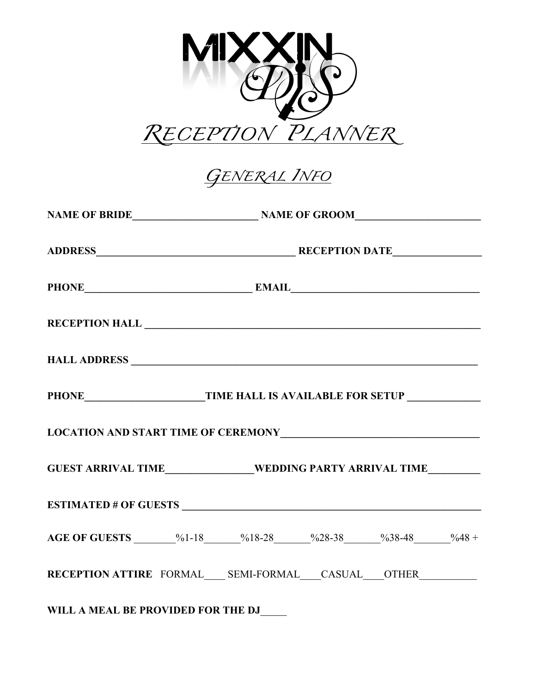

*GENERAL INFO* 

| PHONE EMAIL EMAIL                                                                 |  |  |  |
|-----------------------------------------------------------------------------------|--|--|--|
|                                                                                   |  |  |  |
|                                                                                   |  |  |  |
|                                                                                   |  |  |  |
|                                                                                   |  |  |  |
| GUEST ARRIVAL TIME_______________WEDDING PARTY ARRIVAL TIME__________             |  |  |  |
|                                                                                   |  |  |  |
| AGE OF GUESTS _______%1-18 ______%18-28 ______%28-38 _____%38-48 _____%48 +       |  |  |  |
| RECEPTION ATTIRE FORMAL____ SEMI-FORMAL____CASUAL____OTHER_______________________ |  |  |  |
| WILL A MEAL BE PROVIDED FOR THE DJ                                                |  |  |  |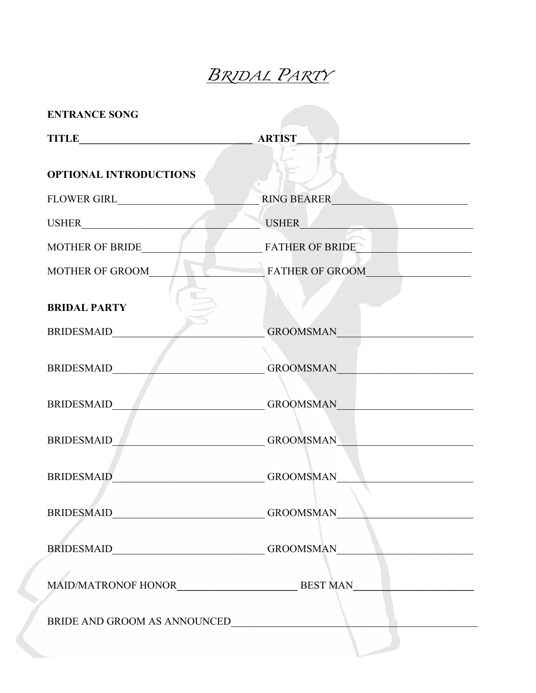## *BRIDAL PARTY*

| <b>ENTRANCE SONG</b>          |                                                                                                                                                                                                                               |
|-------------------------------|-------------------------------------------------------------------------------------------------------------------------------------------------------------------------------------------------------------------------------|
|                               |                                                                                                                                                                                                                               |
| <b>OPTIONAL INTRODUCTIONS</b> |                                                                                                                                                                                                                               |
|                               | <b>RING BEARER</b>                                                                                                                                                                                                            |
|                               | USHER <b>Executive Service</b>                                                                                                                                                                                                |
| <b>MOTHER OF BRIDE</b>        | <b>FATHER OF BRIDE</b>                                                                                                                                                                                                        |
| MOTHER OF GROOM               | <b>FATHER OF GROOM</b>                                                                                                                                                                                                        |
| <b>BRIDAL PARTY</b>           |                                                                                                                                                                                                                               |
| <b>BRIDESMAID</b>             | <b>GROOMSMAN</b>                                                                                                                                                                                                              |
| BRIDESMAID                    | <b>GROOMSMAN</b>                                                                                                                                                                                                              |
| <b>BRIDESMAID</b>             | GROOMSMAN FOR THE STATE OF THE STATE OF THE STATE OF THE STATE OF THE STATE OF THE STATE OF THE STATE OF THE STATE OF THE STATE OF THE STATE OF THE STATE OF THE STATE OF THE STATE OF THE STATE OF THE STATE OF THE STATE OF |
| <b>BRIDESMAID</b>             | <b>GROOMSMAN</b>                                                                                                                                                                                                              |
| <b>BRIDESMAID</b>             | GROOMSMAN<br><b>Contract Contract Contract Contract</b>                                                                                                                                                                       |
|                               | BRIDESMAID___________________________GROOMSMAN__________________________________                                                                                                                                              |
|                               | BRIDESMAID____________________________GROOMSMAN_________________________________                                                                                                                                              |
|                               |                                                                                                                                                                                                                               |
|                               |                                                                                                                                                                                                                               |
|                               |                                                                                                                                                                                                                               |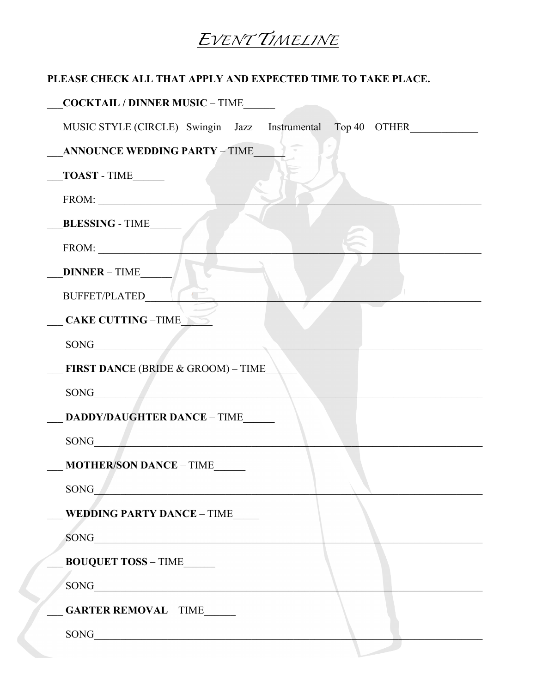## EVENTTIMELINE

## PLEASE CHECK ALL THAT APPLY AND EXPECTED TIME TO TAKE PLACE.

| COCKTAIL / DINNER MUSIC - TIME                                                                                                                                                                                                |
|-------------------------------------------------------------------------------------------------------------------------------------------------------------------------------------------------------------------------------|
| MUSIC STYLE (CIRCLE) Swingin Jazz Instrumental Top 40 OTHER                                                                                                                                                                   |
| ANNOUNCE WEDDING PARTY - TIME                                                                                                                                                                                                 |
| $\sqrt{\text{TOAST - TIME}}$                                                                                                                                                                                                  |
| $\boxed{\text{FROM:}\_\_\_\_\_\_}$                                                                                                                                                                                            |
| BLESSING - TIME                                                                                                                                                                                                               |
| $FROM:$                                                                                                                                                                                                                       |
| DINNER - TIME                                                                                                                                                                                                                 |
| BUFFET/PLATED_NT                                                                                                                                                                                                              |
| CAKE CUTTING -TIME                                                                                                                                                                                                            |
|                                                                                                                                                                                                                               |
| FIRST DANCE (BRIDE & GROOM) - TIME                                                                                                                                                                                            |
|                                                                                                                                                                                                                               |
| <b>DADDY/DAUGHTER DANCE - TIME</b>                                                                                                                                                                                            |
|                                                                                                                                                                                                                               |
| <b>MOTHER/SON DANCE - TIME</b>                                                                                                                                                                                                |
| SONG THE SONG THE STATE OF THE STATE OF THE STATE OF THE STATE OF THE STATE OF THE STATE OF THE STATE OF THE STATE OF THE STATE OF THE STATE OF THE STATE OF THE STATE OF THE STATE OF THE STATE OF THE STATE OF THE STATE OF |
| WEDDING PARTY DANCE - TIME                                                                                                                                                                                                    |
|                                                                                                                                                                                                                               |
| <b>BOUQUET TOSS - TIME______</b>                                                                                                                                                                                              |
|                                                                                                                                                                                                                               |
| GARTER REMOVAL - TIME                                                                                                                                                                                                         |
|                                                                                                                                                                                                                               |
|                                                                                                                                                                                                                               |